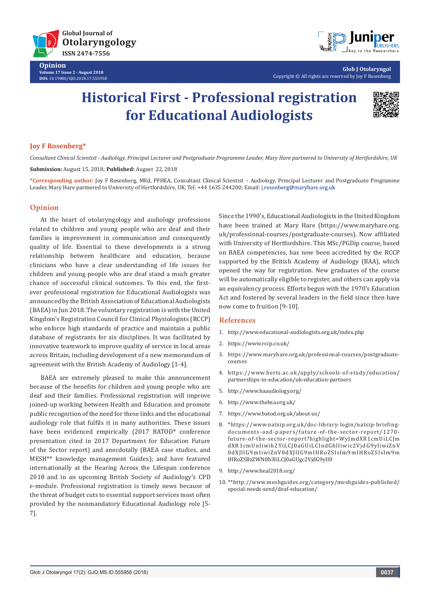

**Opinion Volume 17 Issue 2 - August 2018 DOI:** [10.19080/GJO.2018.17.555958](http://http://dx.doi.org/10.19080/GJO.2018.17.555958)



**Glob J Otolaryngol** Copyright © All rights are reserved by Joy F Rosenberg

# **Historical First - Professional registration for Educational Audiologists**



### **Joy F Rosenberg\***

*Consultant Clinical Scientist - Audiology, Principal Lecturer and Postgraduate Programme Leader, Mary Hare partnered to University of Hertfordshire, UK* **Submission:** August 15, 2018; **Published:** August 22, 2018

**\*Corresponding author:** Joy F Rosenberg, MEd, PFHEA, Consultant Clinical Scientist – Audiology, Principal Lecturer and Postgraduate Programme Leader, Mary Hare partnered to University of Hertfordshire, UK, Tel: +44 1635 244200; Email: j.rosenberg@maryhare.org.uk

### **Opinion**

At the heart of otolaryngology and audiology professions related to children and young people who are deaf and their families is improvement in communication and consequently quality of life. Essential to these developments is a strong relationship between healthcare and education, because clinicians who have a clear understanding of life issues for children and young people who are deaf stand a much greater chance of successful clinical outcomes. To this end, the firstever professional registration for Educational Audiologists was announced by the British Association of Educational Audiologists (BAEA) in Jun 2018. The voluntary registration is with the United Kingdom's Registration Council for Clinical Physiologists (RCCP) who enforce high standards of practice and maintain a public database of registrants for six disciplines. It was facilitated by innovative teamwork to improve quality of service in local areas across Britain, including development of a new memorandum of agreement with the British Academy of Audiology [1-4].

BAEA are extremely pleased to make this announcement because of the benefits for children and young people who are deaf and their families. Professional registration will improve joined-up working between Health and Education and promote public recognition of the need for these links and the educational audiology role that fulfils it in many authorities. These issues have been evidenced empirically (2017 BATOD\* conference presentation cited in 2017 Department for Education Future of the Sector report) and anecdotally (BAEA case studies, and MESH\*\* knowledge management Guides); and have featured internationally at the Hearing Across the Lifespan conference 2018 and in an upcoming British Society of Audiology's CPD e-module. Professional registration is timely news because of the threat of budget cuts to essential support services most often provided by the nonmandatory Educational Audiology role [5- 7].

Since the 1990's, Educational Audiologists in the United Kingdom have been trained at Mary Hare (https://www.maryhare.org. uk/professional-courses/postgraduate-courses). Now affiliated with University of Hertfordshire. This MSc/PGDip course, based on BAEA competencies, has now been accredited by the RCCP supported by the British Academy of Audiology (BAA), which opened the way for registration. New graduates of the course will be automatically eligible to register, and others can apply via an equivalency process. Efforts begun with the 1970's Education Act and fostered by several leaders in the field since then have now come to fruition [9-10].

#### **References**

- 1. http://www.educational-audiologists.org.uk/index.php
- 2. https://www.rccp.co.uk/
- 3. https://www.maryhare.org.uk/professional-courses/postgraduatecourses
- 4. https://www.herts.ac.uk/apply/schools-of-study/education/ partnerships-in-education/uk-education-partners
- 5. http://www.baaudiology.org/
- 6. http://www.thebsa.org.uk/
- 7. https://www.batod.org.uk/about-us/
- 8. \*https://www.natsip.org.uk/doc-library-login/natsip-briefingdocuments-and-papers/future-of-the-sector-report/1270 future-of-the-sector-report?highlight=WyJmdXR1cmUiLCJm dXR1cmUnIiwib2YiLCJ0aGUiLCIndGhlIiwic2VjdG9yIiwiZnV 0dXJlIG9mIiwiZnV0dXJlIG9mIHRoZSIsIm9mIHRoZSIsIm9m IHRoZSBzZWN0b3IiLCJ0aGUgc2VjdG9yIl0
- 9. http://www.heal2018.org/
- 10. \*\*http://www.meshguides.org/category/meshguides-published/ special-needs-send/deaf-education/